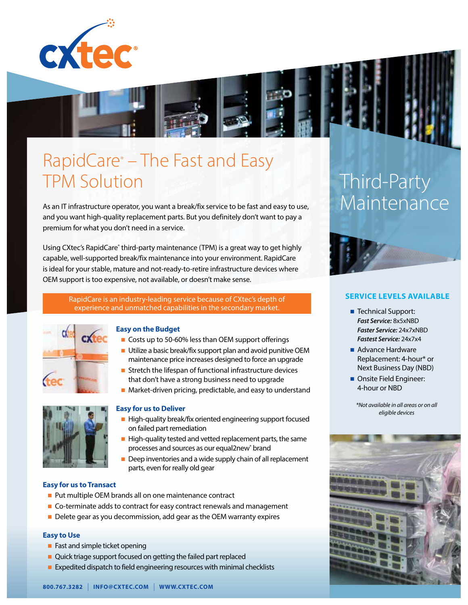



## RapidCare® – The Fast and Easy TPM Solution

As an IT infrastructure operator, you want a break/fix service to be fast and easy to use, and you want high-quality replacement parts. But you definitely don't want to pay a premium for what you don't need in a service.

Using CXtec's RapidCare® third-party maintenance (TPM) is a great way to get highly capable, well-supported break/fix maintenance into your environment. RapidCare is ideal for your stable, mature and not-ready-to-retire infrastructure devices where OEM support is too expensive, not available, or doesn't make sense.

> RapidCare is an industry-leading service because of CXtec's depth of experience and unmatched capabilities in the secondary market.



### **Easy on the Budget**

- Costs up to 50-60% less than OEM support offerings
- Utilize a basic break/fix support plan and avoid punitive OEM maintenance price increases designed to force an upgrade
- $\blacksquare$  Stretch the lifespan of functional infrastructure devices that don't have a strong business need to upgrade
- $\blacksquare$  Market-driven pricing, predictable, and easy to understand



### **Easy for us to Deliver**

- $\blacksquare$  High-quality break/fix oriented engineering support focused on failed part remediation
- $\blacksquare$  High-quality tested and vetted replacement parts, the same processes and sources as our equal2new<sup>®</sup> brand
	- $\blacksquare$  Deep inventories and a wide supply chain of all replacement parts, even for really old gear

### **Easy for us to Transact**

- Put multiple OEM brands all on one maintenance contract
- $\blacksquare$  Co-terminate adds to contract for easy contract renewals and management
- Delete gear as you decommission, add gear as the OEM warranty expires

### **Easy to Use**

- $\blacksquare$  Fast and simple ticket opening
- $\blacksquare$  Quick triage support focused on getting the failed part replaced
- Expedited dispatch to field engineering resources with minimal checklists

# Third-Party **Maintenance**



### **SERVICE LEVELS AVAILABLE**

- Technical Support: *Fast Service:* 8x5xNBD *Faster Service:* 24x7xNBD *Fastest Service:* 24x7x4
- $\blacksquare$  Advance Hardware Replacement: 4-hour\* or Next Business Day (NBD)
- **n** Onsite Field Engineer: 4-hour or NBD

*\*Not available in all areas or on all eligible devices*